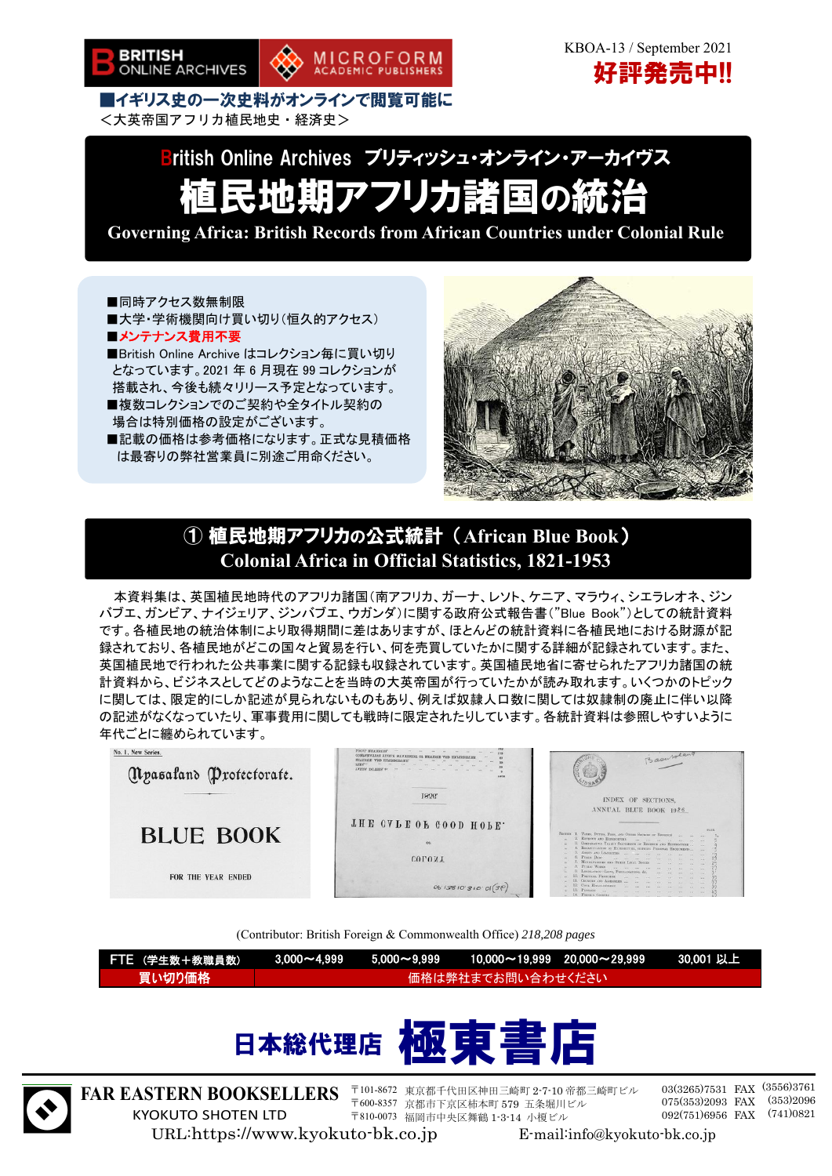

 KBOA-13 / September 2021 好評発売中!!

■イギリス史の一次史料がオンラインで閲覧可能に <大英帝国アフリカ植民地史・経済史>

# British Online Archives ブリティッシュ・オンライン・アーカイヴス 植民地期アフリカ諸国の統治

MICROFORM<br>ACADEMIC PUBLISHERS

**Governing Africa: British Records from African Countries under Colonial Rule** 

■同時アクセス数無制限 ■大学・学術機関向け買い切り(恒久的アクセス) ■メンテナンス費用不要 ■British Online Archive はコレクション毎に買い切り となっています。2021 年 6 月現在 99 コレクションが 搭載され、今後も続々リリース予定となっています。 ■複数コレクションでのご契約や全タイトル契約の 場合は特別価格の設定がございます。 ■記載の価格は参考価格になります。正式な見積価格

は最寄りの弊社営業員に別途ご用命ください。



### ① 植民地期アフリカの公式統計 (**African Blue Book**) **Colonial Africa in Official Statistics, 1821-1953**

本資料集は、英国植民地時代のアフリカ諸国(南アフリカ、ガーナ、レソト、ケニア、マラウィ、シエラレオネ、ジン バブエ、ガンビア、ナイジェリア、ジンバブエ、ウガンダ)に関する政府公式報告書("Blue Book")としての統計資料 です。各植民地の統治体制により取得期間に差はありますが、ほとんどの統計資料に各植民地における財源が記 録されており、各植民地がどこの国々と貿易を行い、何を売買していたかに関する詳細が記録されています。また、 英国植民地で行われた公共事業に関する記録も収録されています。英国植民地省に寄せられたアフリカ諸国の統 計資料から、ビジネスとしてどのようなことを当時の大英帝国が行っていたかが読み取れます。いくつかのトピック に関しては、限定的にしか記述が見られないものもあり、例えば奴隷人口数に関しては奴隷制の廃止に伴い以降 の記述がなくなっていたり、軍事費用に関しても戦時に限定されたりしています。各統計資料は参照しやすいように 年代ごとに纏められています。



(Contributor: British Foreign & Commonwealth Office) *218,208 pages*

| 「FTE(学生数+教職員数)」 |  |                   | ↓ 3,000~4,999        5,000~9,999        10,000~19,999    20,000~29,999         30,001 以上 <sup>\</sup> |  |
|-----------------|--|-------------------|-------------------------------------------------------------------------------------------------------|--|
| 「買い切り価格」        |  | 価格は弊社までお問い合わせください |                                                                                                       |  |
|                 |  |                   |                                                                                                       |  |





**FAR EASTERN BOOKSELLERS**  KYOKUTO SHOTEN LTD

〒101-8672 東京都千代田区神田三崎町 2-7-10 帝都三崎町ビル 〒600-8357 京都市下京区柿本町 579 五条堀川ビル 〒810-0073 福岡市中央区舞鶴 1-3-14 小榎ビル

03(3265)7531 FAX (3556)3761 075(353)2093 FAX 092(751)6956 FAX (741)0821 (353)2096

URL:https://www.kyokuto-bk.co.jp E-mail:info@kyokuto-bk.co.jp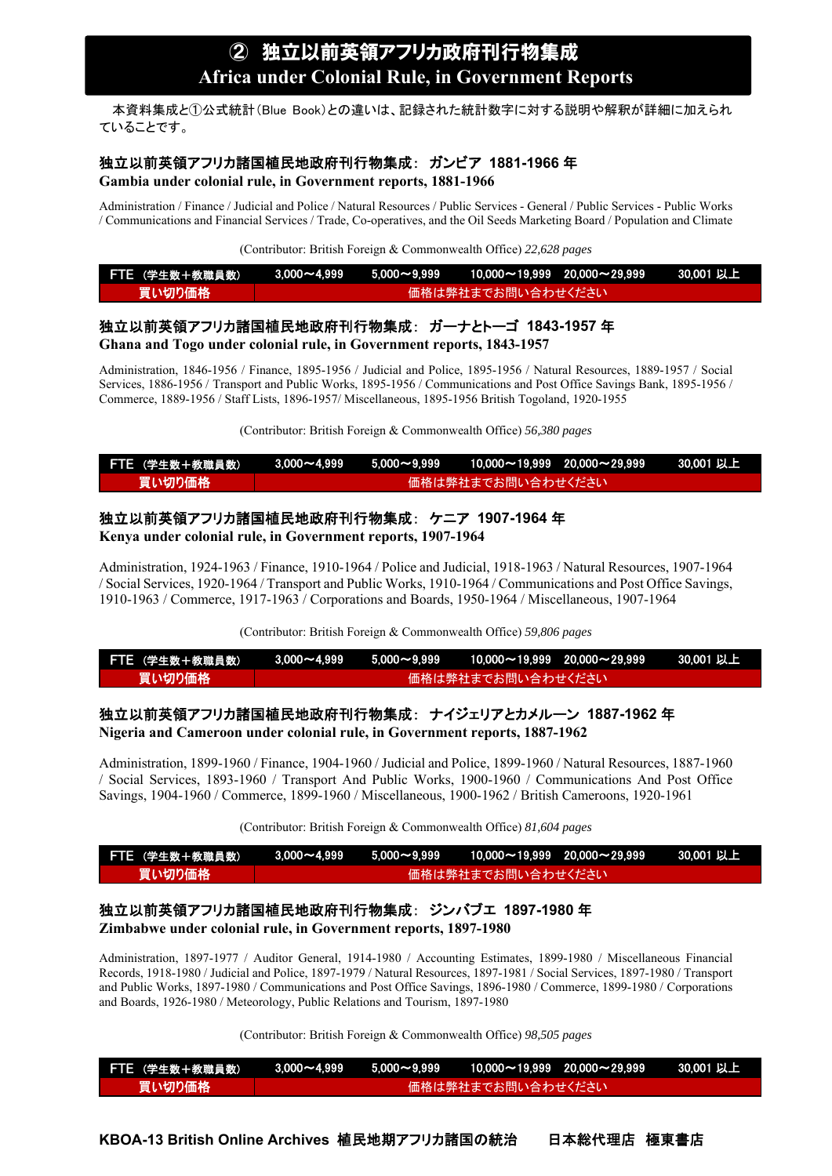本資料集成と①公式統計(Blue Book)との違いは、記録された統計数字に対する説明や解釈が詳細に加えられ ていることです。

#### 独立以前英領アフリカ諸国植民地政府刊行物集成: ガンビア **1881-1966** 年

**Gambia under colonial rule, in Government reports, 1881-1966** 

Administration / Finance / Judicial and Police / Natural Resources / Public Services - General / Public Services - Public Works / Communications and Financial Services / Trade, Co-operatives, and the Oil Seeds Marketing Board / Population and Climate

(Contributor: British Foreign & Commonwealth Office) *22,628 pages*

| FTE (学生数+教職員数) |  |                    |  |
|----------------|--|--------------------|--|
| 買い切り価格         |  | 価格は弊社までお問い合わせください' |  |

#### 独立以前英領アフリカ諸国植民地政府刊行物集成: ガーナとトーゴ **1843-1957** 年 **Ghana and Togo under colonial rule, in Government reports, 1843-1957**

Administration, 1846-1956 / Finance, 1895-1956 / Judicial and Police, 1895-1956 / Natural Resources, 1889-1957 / Social Services, 1886-1956 / Transport and Public Works, 1895-1956 / Communications and Post Office Savings Bank, 1895-1956 / Commerce, 1889-1956 / Staff Lists, 1896-1957/ Miscellaneous, 1895-1956 British Togoland, 1920-1955

(Contributor: British Foreign & Commonwealth Office) *56,380 pages*

| FTE (学生数+教職員数) |  |                   | $1000\sim4.999$ $5.000\sim9.999$ $10.000\sim19.999$ $20.000\sim29.999$ 30.001 以上 $1$ |  |
|----------------|--|-------------------|--------------------------------------------------------------------------------------|--|
| 買い切り価格         |  | 価格は弊社までお問い合わせください |                                                                                      |  |

#### 独立以前英領アフリカ諸国植民地政府刊行物集成: ケニア **1907-1964** 年

**Kenya under colonial rule, in Government reports, 1907-1964** 

Administration, 1924-1963 / Finance, 1910-1964 / Police and Judicial, 1918-1963 / Natural Resources, 1907-1964 / Social Services, 1920-1964 / Transport and Public Works, 1910-1964 / Communications and Post Office Savings, 1910-1963 / Commerce, 1917-1963 / Corporations and Boards, 1950-1964 / Miscellaneous, 1907-1964

(Contributor: British Foreign & Commonwealth Office) *59,806 pages*

| FTE (学生数+教職員数) |  |                   |  |
|----------------|--|-------------------|--|
| 買い切り価格         |  | 価格は弊社までお問い合わせください |  |

### 独立以前英領アフリカ諸国植民地政府刊行物集成: ナイジェリアとカメルーン **1887-1962** 年

**Nigeria and Cameroon under colonial rule, in Government reports, 1887-1962** 

Administration, 1899-1960 / Finance, 1904-1960 / Judicial and Police, 1899-1960 / Natural Resources, 1887-1960 / Social Services, 1893-1960 / Transport And Public Works, 1900-1960 / Communications And Post Office Savings, 1904-1960 / Commerce, 1899-1960 / Miscellaneous, 1900-1962 / British Cameroons, 1920-1961

(Contributor: British Foreign & Commonwealth Office) *81,604 pages*

| <b>FTE (学生数+教職員数)</b> |  |                   |  |
|-----------------------|--|-------------------|--|
| 買い切り価格 !              |  | 価格は弊社までお問い合わせください |  |

### 独立以前英領アフリカ諸国植民地政府刊行物集成: ジンバブエ **1897-1980** 年

**Zimbabwe under colonial rule, in Government reports, 1897-1980** 

Administration, 1897-1977 / Auditor General, 1914-1980 / Accounting Estimates, 1899-1980 / Miscellaneous Financial Records, 1918-1980 / Judicial and Police, 1897-1979 / Natural Resources, 1897-1981 / Social Services, 1897-1980 / Transport and Public Works, 1897-1980 / Communications and Post Office Savings, 1896-1980 / Commerce, 1899-1980 / Corporations and Boards, 1926-1980 / Meteorology, Public Relations and Tourism, 1897-1980

(Contributor: British Foreign & Commonwealth Office) *98,505 pages*

| FTE (学生数+教職員数) | $3.000\mathtt{\sim}4.999$ $5.000\mathtt{\sim}9.999$ | $10.000\mathtt{\sim}19.999$ 20.000 $\mathtt{\sim}29.999$ | ■ 30.001 以上 |
|----------------|-----------------------------------------------------|----------------------------------------------------------|-------------|
| 買い切り価格         |                                                     | ▲価格は弊社までお問い合わせください                                       |             |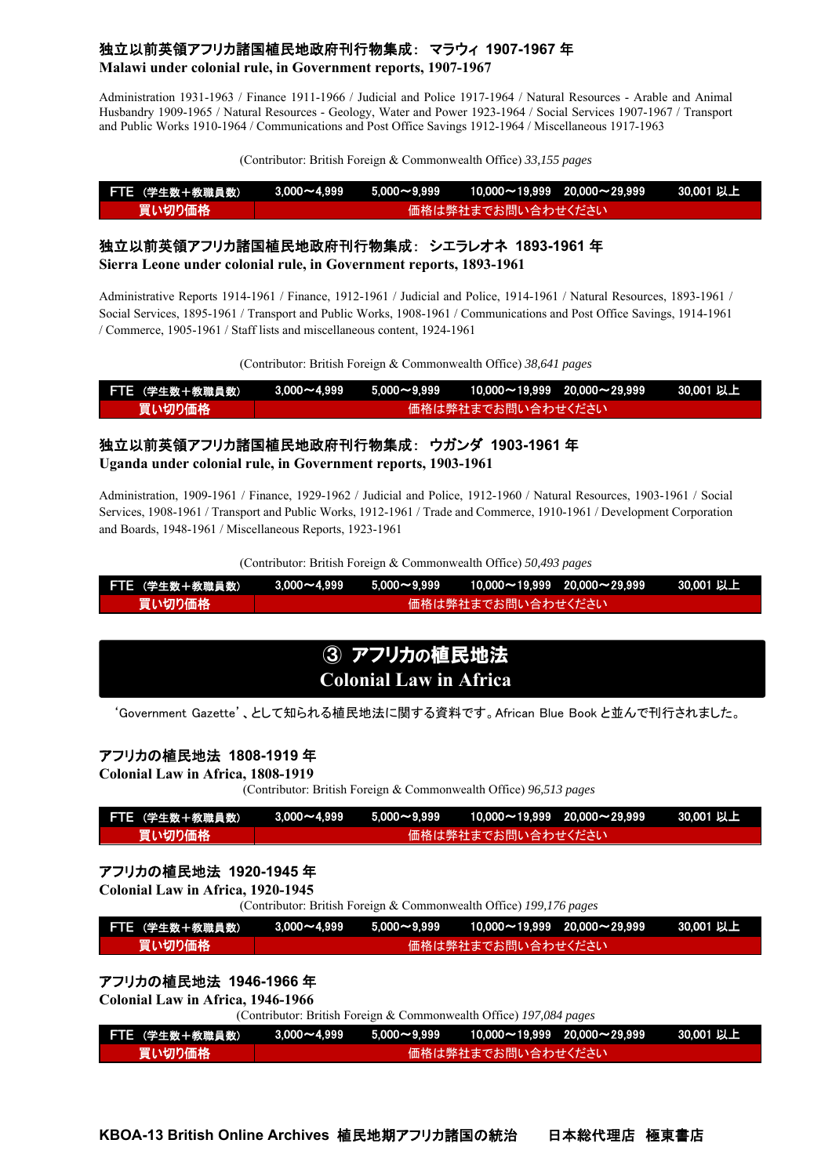#### 独立以前英領アフリカ諸国植民地政府刊行物集成: マラウィ **1907-1967** 年

**Malawi under colonial rule, in Government reports, 1907-1967** 

Administration 1931-1963 / Finance 1911-1966 / Judicial and Police 1917-1964 / Natural Resources - Arable and Animal Husbandry 1909-1965 / Natural Resources - Geology, Water and Power 1923-1964 / Social Services 1907-1967 / Transport and Public Works 1910-1964 / Communications and Post Office Savings 1912-1964 / Miscellaneous 1917-1963

(Contributor: British Foreign & Commonwealth Office) *33,155 pages*

| FTE (学生数+教職員数) |  |                   | $\lambda$ 3,000~4,999  5,000~9,999  10,000~19,999 20,000~29,999   30,001 以上 \ |  |
|----------------|--|-------------------|-------------------------------------------------------------------------------|--|
| 買い切り価格 !       |  | 価格は弊社までお問い合わせください |                                                                               |  |

### 独立以前英領アフリカ諸国植民地政府刊行物集成: シエラレオネ **1893-1961** 年

**Sierra Leone under colonial rule, in Government reports, 1893-1961** 

Administrative Reports 1914-1961 / Finance, 1912-1961 / Judicial and Police, 1914-1961 / Natural Resources, 1893-1961 / Social Services, 1895-1961 / Transport and Public Works, 1908-1961 / Communications and Post Office Savings, 1914-1961 / Commerce, 1905-1961 / Staff lists and miscellaneous content, 1924-1961

(Contributor: British Foreign & Commonwealth Office) *38,641 pages*

| FTE (学生数+教職員数) |  | $3.000\mathtt{\sim}4.999$ $5.000\mathtt{\sim}9.999$ $10.000\mathtt{\sim}19.999$ $20.000\mathtt{\sim}29.999$ | 30.001 以上 |
|----------------|--|-------------------------------------------------------------------------------------------------------------|-----------|
| 買い切り価格         |  | 価格は弊社までお問い合わせください                                                                                           |           |

### 独立以前英領アフリカ諸国植民地政府刊行物集成: ウガンダ **1903-1961** 年

**Uganda under colonial rule, in Government reports, 1903-1961** 

Administration, 1909-1961 / Finance, 1929-1962 / Judicial and Police, 1912-1960 / Natural Resources, 1903-1961 / Social Services, 1908-1961 / Transport and Public Works, 1912-1961 / Trade and Commerce, 1910-1961 / Development Corporation and Boards, 1948-1961 / Miscellaneous Reports, 1923-1961

(Contributor: British Foreign & Commonwealth Office) *50,493 pages*

| FTE (学生数+教職員数) |  |                    | N 3.000~4.999   5.000~9.999   10.000~19.999  20.000~29.999   30.001 以上 \ |  |
|----------------|--|--------------------|--------------------------------------------------------------------------|--|
| 買い切り価格         |  | ▲価格は弊社までお問い合わせください |                                                                          |  |

### 3 アフリカの植民地法 **Colonial Law in Africa**

'Government Gazette'、として知られる植民地法に関する資料です。African Blue Book と並んで刊行されました。

#### アフリカの植民地法 **1808-1919** 年

**Colonial Law in Africa, 1808-1919** 

(Contributor: British Foreign & Commonwealth Office) *96,513 pages*

| FTE (学生数+教職員数) |  |                   | $\lambda$ 3,000 $\sim$ 4,999 $\quad$ 5,000 $\sim$ 9,999 $\quad$ 10,000 $\sim$ 19,999 $\quad$ 20,000 $\sim$ 29,999 $\quad$ 30,001 U, LN |  |
|----------------|--|-------------------|----------------------------------------------------------------------------------------------------------------------------------------|--|
| 買い切り価格         |  | 価格は弊社までお問い合わせください |                                                                                                                                        |  |

#### アフリカの植民地法 **1920-1945** 年

**Colonial Law in Africa, 1920-1945** 

(Contributor: British Foreign & Commonwealth Office) *199,176 pages*

| FTE (学生数+教職員数) |  |                   | $\lambda$ 3,000 $\sim$ 4,999 $\quad$ 5,000 $\sim$ 9,999 $\quad$ 10,000 $\sim$ 19,999 $\quad$ 20,000 $\sim$ 29,999 $\quad$ 30,001 U, $\pm$ N |  |
|----------------|--|-------------------|---------------------------------------------------------------------------------------------------------------------------------------------|--|
| 買い切り価格         |  | 価格は弊社までお問い合わせください |                                                                                                                                             |  |

#### アフリカの植民地法 **1946-1966** 年

**Colonial Law in Africa, 1946-1966** 

(Contributor: British Foreign & Commonwealth Office) *197,084 pages*

| FTE (学生数+教職員数) |  | $\frac{1}{2.000}$ = 4,999 $\frac{1}{2.000}$ = 9,999 $\frac{1}{2.0000}$ = 10,000 $\sim$ 19,999 $\frac{1}{2.0000}$ $\sim$ 29,999 | 30.001 以上 |
|----------------|--|--------------------------------------------------------------------------------------------------------------------------------|-----------|
| 買い切り価格 !       |  | 「価格は弊社までお問い合わせください」                                                                                                            |           |